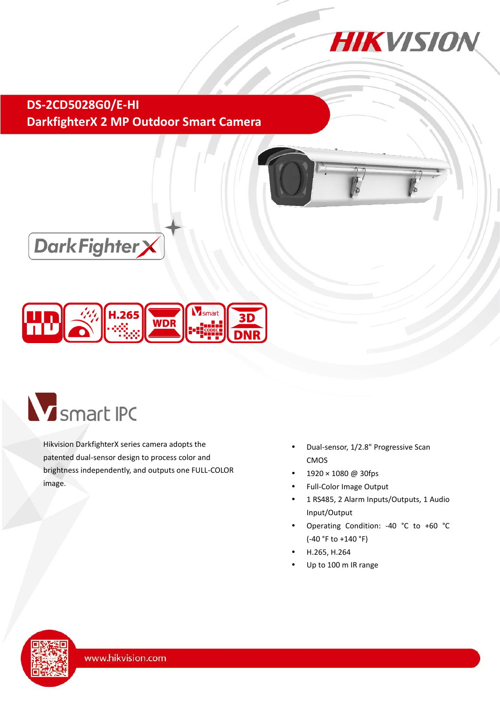

**DS-2CD5028G0/E-HI DarkfighterX 2 MP Outdoor Smart Camera**







Hikvision DarkfighterX series camera adopts the patented dual-sensor design to process color and brightness independently, and outputs one FULL-COLOR image.

- Dual-sensor, 1/2.8" Progressive Scan CMOS
- 1920 × 1080 @ 30fps
- Full-Color Image Output
- 1 RS485, 2 Alarm Inputs/Outputs, 1 Audio Input/Output
- Operating Condition: -40 °C to +60 °C (-40 °F to +140 °F)
- H.265, H.264
- Up to 100 m IR range

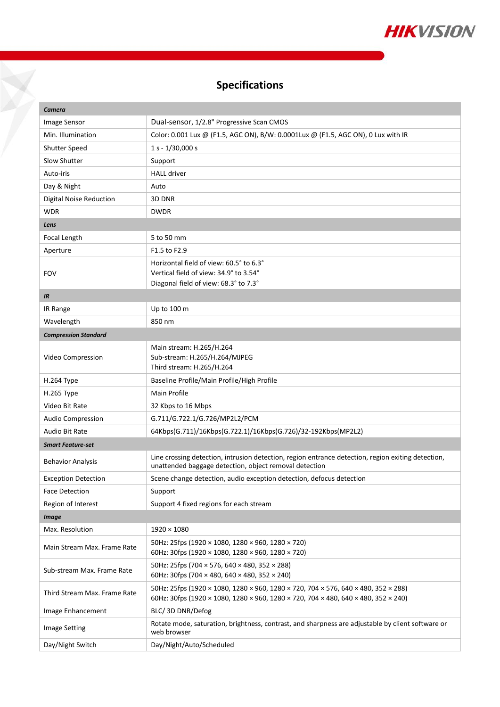

## **Specifications**

Y

| Camera                         |                                                                                                                                                                          |  |
|--------------------------------|--------------------------------------------------------------------------------------------------------------------------------------------------------------------------|--|
| <b>Image Sensor</b>            | Dual-sensor, 1/2.8" Progressive Scan CMOS                                                                                                                                |  |
| Min. Illumination              | Color: 0.001 Lux @ (F1.5, AGC ON), B/W: 0.0001Lux @ (F1.5, AGC ON), 0 Lux with IR                                                                                        |  |
| Shutter Speed                  | $1 s - 1/30,000 s$                                                                                                                                                       |  |
| Slow Shutter                   | Support                                                                                                                                                                  |  |
| Auto-iris                      | <b>HALL driver</b>                                                                                                                                                       |  |
| Day & Night                    | Auto                                                                                                                                                                     |  |
| <b>Digital Noise Reduction</b> | 3D DNR                                                                                                                                                                   |  |
| <b>WDR</b>                     | <b>DWDR</b>                                                                                                                                                              |  |
| Lens                           |                                                                                                                                                                          |  |
| Focal Length                   | 5 to 50 mm                                                                                                                                                               |  |
| Aperture                       | F1.5 to F2.9                                                                                                                                                             |  |
| <b>FOV</b>                     | Horizontal field of view: 60.5° to 6.3°<br>Vertical field of view: 34.9° to 3.54°<br>Diagonal field of view: 68.3° to 7.3°                                               |  |
| IR                             |                                                                                                                                                                          |  |
| IR Range                       | Up to 100 m                                                                                                                                                              |  |
| Wavelength                     | 850 nm                                                                                                                                                                   |  |
| <b>Compression Standard</b>    |                                                                                                                                                                          |  |
| Video Compression              | Main stream: H.265/H.264<br>Sub-stream: H.265/H.264/MJPEG<br>Third stream: H.265/H.264                                                                                   |  |
| H.264 Type                     | Baseline Profile/Main Profile/High Profile                                                                                                                               |  |
| H.265 Type                     | Main Profile                                                                                                                                                             |  |
| Video Bit Rate                 | 32 Kbps to 16 Mbps                                                                                                                                                       |  |
| <b>Audio Compression</b>       | G.711/G.722.1/G.726/MP2L2/PCM                                                                                                                                            |  |
| Audio Bit Rate                 | 64Kbps(G.711)/16Kbps(G.722.1)/16Kbps(G.726)/32-192Kbps(MP2L2)                                                                                                            |  |
| <b>Smart Feature-set</b>       |                                                                                                                                                                          |  |
| <b>Behavior Analysis</b>       | Line crossing detection, intrusion detection, region entrance detection, region exiting detection,<br>unattended baggage detection, object removal detection             |  |
| <b>Exception Detection</b>     | Scene change detection, audio exception detection, defocus detection                                                                                                     |  |
| <b>Face Detection</b>          | Support                                                                                                                                                                  |  |
| Region of Interest             | Support 4 fixed regions for each stream                                                                                                                                  |  |
| <b>Image</b>                   |                                                                                                                                                                          |  |
| Max. Resolution                | $1920\times1080$                                                                                                                                                         |  |
| Main Stream Max. Frame Rate    | 50Hz: 25fps (1920 × 1080, 1280 × 960, 1280 × 720)<br>60Hz: 30fps (1920 × 1080, 1280 × 960, 1280 × 720)                                                                   |  |
| Sub-stream Max. Frame Rate     | 50Hz: 25fps (704 × 576, 640 × 480, 352 × 288)<br>60Hz: 30fps (704 × 480, 640 × 480, 352 × 240)                                                                           |  |
| Third Stream Max. Frame Rate   | 50Hz: 25fps (1920 × 1080, 1280 × 960, 1280 × 720, 704 × 576, 640 × 480, 352 × 288)<br>60Hz: 30fps (1920 × 1080, 1280 × 960, 1280 × 720, 704 × 480, 640 × 480, 352 × 240) |  |
| Image Enhancement              | BLC/3D DNR/Defog                                                                                                                                                         |  |
| <b>Image Setting</b>           | Rotate mode, saturation, brightness, contrast, and sharpness are adjustable by client software or<br>web browser                                                         |  |
| Day/Night Switch               | Day/Night/Auto/Scheduled                                                                                                                                                 |  |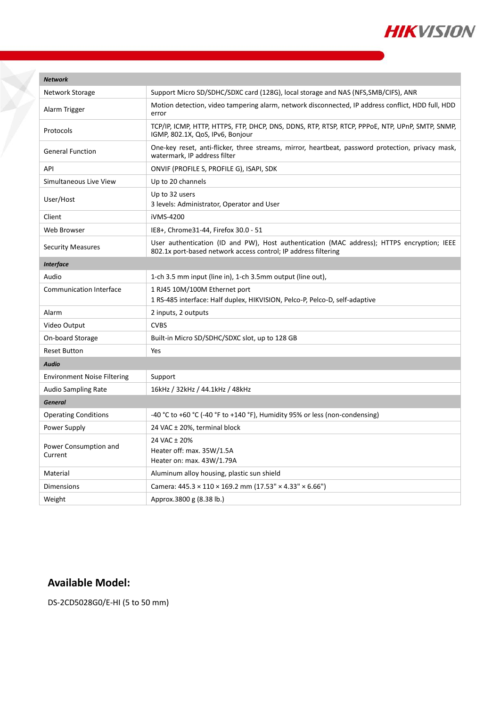

| <b>Network</b>                     |                                                                                                                                                              |  |
|------------------------------------|--------------------------------------------------------------------------------------------------------------------------------------------------------------|--|
| Network Storage                    | Support Micro SD/SDHC/SDXC card (128G), local storage and NAS (NFS, SMB/CIFS), ANR                                                                           |  |
| Alarm Trigger                      | Motion detection, video tampering alarm, network disconnected, IP address conflict, HDD full, HDD<br>error                                                   |  |
| Protocols                          | TCP/IP, ICMP, HTTP, HTTPS, FTP, DHCP, DNS, DDNS, RTP, RTSP, RTCP, PPPOE, NTP, UPnP, SMTP, SNMP,<br>IGMP, 802.1X, QoS, IPv6, Bonjour                          |  |
| <b>General Function</b>            | One-key reset, anti-flicker, three streams, mirror, heartbeat, password protection, privacy mask,<br>watermark, IP address filter                            |  |
| API                                | ONVIF (PROFILE S, PROFILE G), ISAPI, SDK                                                                                                                     |  |
| Simultaneous Live View             | Up to 20 channels                                                                                                                                            |  |
| User/Host                          | Up to 32 users<br>3 levels: Administrator, Operator and User                                                                                                 |  |
| Client                             | iVMS-4200                                                                                                                                                    |  |
| <b>Web Browser</b>                 | IE8+, Chrome31-44, Firefox 30.0 - 51                                                                                                                         |  |
| <b>Security Measures</b>           | User authentication (ID and PW), Host authentication (MAC address); HTTPS encryption; IEEE<br>802.1x port-based network access control; IP address filtering |  |
| <b>Interface</b>                   |                                                                                                                                                              |  |
| Audio                              | 1-ch 3.5 mm input (line in), 1-ch 3.5mm output (line out),                                                                                                   |  |
| <b>Communication Interface</b>     | 1 RJ45 10M/100M Ethernet port<br>1 RS-485 interface: Half duplex, HIKVISION, Pelco-P, Pelco-D, self-adaptive                                                 |  |
| Alarm                              | 2 inputs, 2 outputs                                                                                                                                          |  |
| Video Output                       | <b>CVBS</b>                                                                                                                                                  |  |
| On-board Storage                   | Built-in Micro SD/SDHC/SDXC slot, up to 128 GB                                                                                                               |  |
| <b>Reset Button</b>                | Yes                                                                                                                                                          |  |
| <b>Audio</b>                       |                                                                                                                                                              |  |
| <b>Environment Noise Filtering</b> | Support                                                                                                                                                      |  |
| <b>Audio Sampling Rate</b>         | 16kHz / 32kHz / 44.1kHz / 48kHz                                                                                                                              |  |
| <b>General</b>                     |                                                                                                                                                              |  |
| <b>Operating Conditions</b>        | -40 °C to +60 °C (-40 °F to +140 °F), Humidity 95% or less (non-condensing)                                                                                  |  |
| Power Supply                       | 24 VAC ± 20%, terminal block                                                                                                                                 |  |
| Power Consumption and<br>Current   | 24 VAC ± 20%<br>Heater off: max. 35W/1.5A<br>Heater on: max. 43W/1.79A                                                                                       |  |
| Material                           | Aluminum alloy housing, plastic sun shield                                                                                                                   |  |
| Dimensions                         | Camera: 445.3 × 110 × 169.2 mm (17.53" × 4.33" × 6.66")                                                                                                      |  |
| Weight                             | Approx.3800 g (8.38 lb.)                                                                                                                                     |  |

## **Available Model:**

DS-2CD5028G0/E-HI (5 to 50 mm)